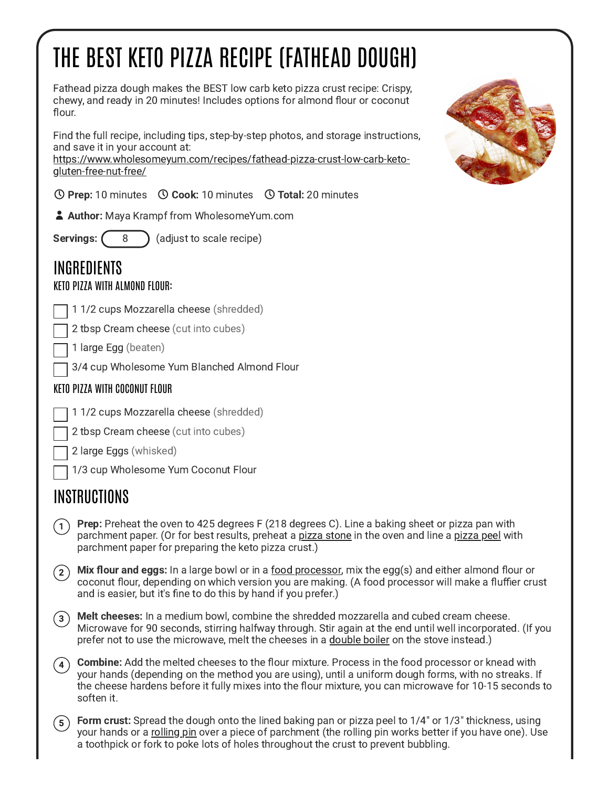# THE BEST KETO PIZZA RECIPE (FATHEAD DOUGH)

Fathead pizza dough makes the BEST low carb keto pizza crust recipe: Crispy, chewy, and ready in 20 minutes! Includes options for almond flour or coconut flour.

Find the full recipe, including tips, step-by-step photos, and storage instructions, and save it in your account at:

[https://www.wholesomeyum.com/recipes/fathead-pizza-crust-low-carb-keto](https://www.wholesomeyum.com/recipes/fathead-pizza-crust-low-carb-keto-gluten-free-nut-free/)gluten-free-nut-free/

 $\odot$  Prep: 10 minutes  $\odot$  Cook: 10 minutes  $\odot$  Total: 20 minutes

**Author:** Maya Krampf from WholesomeYum.com

**Servings:**  $(8)$  (adjust to scale recipe)

## INGREDIENTS

#### KETO PIZZA WITH ALMOND FLOUR:

1 1/2 cups Mozzarella cheese (shredded)

2 tbsp Cream cheese (cut into cubes)

1 large Egg (beaten)

3/4 cup Wholesome Yum Blanched Almond Flour

#### KETO PIZZA WITH COCONUT FLOUR

- 1 1/2 cups Mozzarella cheese (shredded)
- 2 tbsp Cream cheese (cut into cubes)
- 2 large Eggs (whisked)
- 1/3 cup Wholesome Yum Coconut Flour

### INSTRUCTIONS

- Prep: Preheat the oven to 425 degrees F (218 degrees C). Line a baking sheet or pizza pan with parchment paper. (Or for best results, preheat a pizza [stone](https://assoc-redirect.amazon.com/g/r/https://amzn.to/3CVrG1f) in the oven and line a [pizza](https://assoc-redirect.amazon.com/g/r/https://amzn.to/3ikBZlS) peel with parchment paper for preparing the keto pizza crust.)  $(1)$
- $\widehat{\mathbf{z}}$  Mix flour and eggs: In a large bowl or in a <u>food processor</u>, mix the egg(s) and either almond flour or coconut flour, depending on which version you are making. (A food processor will make a fluffier crust and is easier, but it's fine to do this by hand if you prefer.)
- Melt cheeses: In a medium bowl, combine the shredded mozzarella and cubed cream cheese. Microwave for 90 seconds, stirring halfway through. Stir again at the end until well incorporated. (If you prefer not to use the microwave, melt the cheeses in a [double](https://assoc-redirect.amazon.com/g/r/https://amzn.to/3uhnPay) boiler on the stove instead.)  $\left( 3\right)$
- Combine: Add the melted cheeses to the flour mixture. Process in the food processor or knead with your hands (depending on the method you are using), until a uniform dough forms, with no streaks. If the cheese hardens before it fully mixes into the flour mixture, you can microwave for 10-15 seconds to soften it.  $(4)$
- Form crust: Spread the dough onto the lined baking pan or pizza peel to 1/4" or 1/3" thickness, using your hands or a [rolling](https://assoc-redirect.amazon.com/g/r/https://amzn.to/3CXAbZy) pin over a piece of parchment (the rolling pin works better if you have one). Use a toothpick or fork to poke lots of holes throughout the crust to prevent bubbling.  $5^{\degree}$